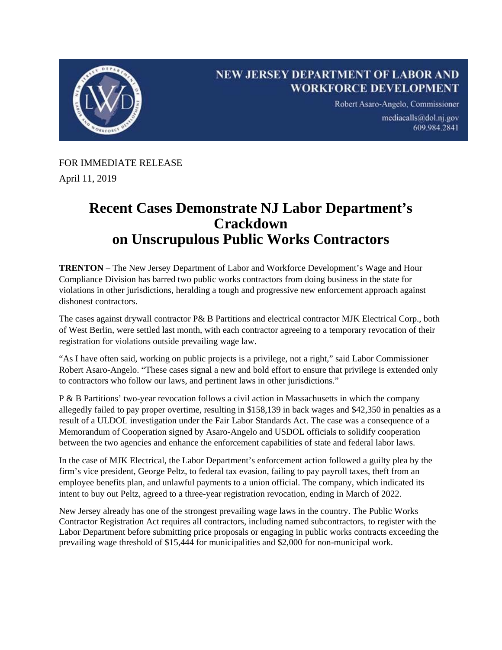

FOR IMMEDIATE RELEASE April 11, 2019

## **Recent Cases Demonstrate NJ Labor Department's Crackdown on Unscrupulous Public Works Contractors**

**TRENTON** – The New Jersey Department of Labor and Workforce Development's Wage and Hour Compliance Division has barred two public works contractors from doing business in the state for violations in other jurisdictions, heralding a tough and progressive new enforcement approach against dishonest contractors.

The cases against drywall contractor P& B Partitions and electrical contractor MJK Electrical Corp., both of West Berlin, were settled last month, with each contractor agreeing to a temporary revocation of their registration for violations outside prevailing wage law.

"As I have often said, working on public projects is a privilege, not a right," said Labor Commissioner Robert Asaro-Angelo. "These cases signal a new and bold effort to ensure that privilege is extended only to contractors who follow our laws, and pertinent laws in other jurisdictions."

P & B Partitions' two-year revocation follows a civil action in Massachusetts in which the company allegedly failed to pay proper overtime, resulting in \$158,139 in back wages and \$42,350 in penalties as a result of a ULDOL investigation under the Fair Labor Standards Act. The case was a consequence of a Memorandum of Cooperation signed by Asaro-Angelo and USDOL officials to solidify cooperation between the two agencies and enhance the enforcement capabilities of state and federal labor laws.

In the case of MJK Electrical, the Labor Department's enforcement action followed a guilty plea by the firm's vice president, George Peltz, to federal tax evasion, failing to pay payroll taxes, theft from an employee benefits plan, and unlawful payments to a union official. The company, which indicated its intent to buy out Peltz, agreed to a three-year registration revocation, ending in March of 2022.

New Jersey already has one of the strongest prevailing wage laws in the country. The Public Works Contractor Registration Act requires all contractors, including named subcontractors, to register with the Labor Department before submitting price proposals or engaging in public works contracts exceeding the prevailing wage threshold of \$15,444 for municipalities and \$2,000 for non-municipal work.